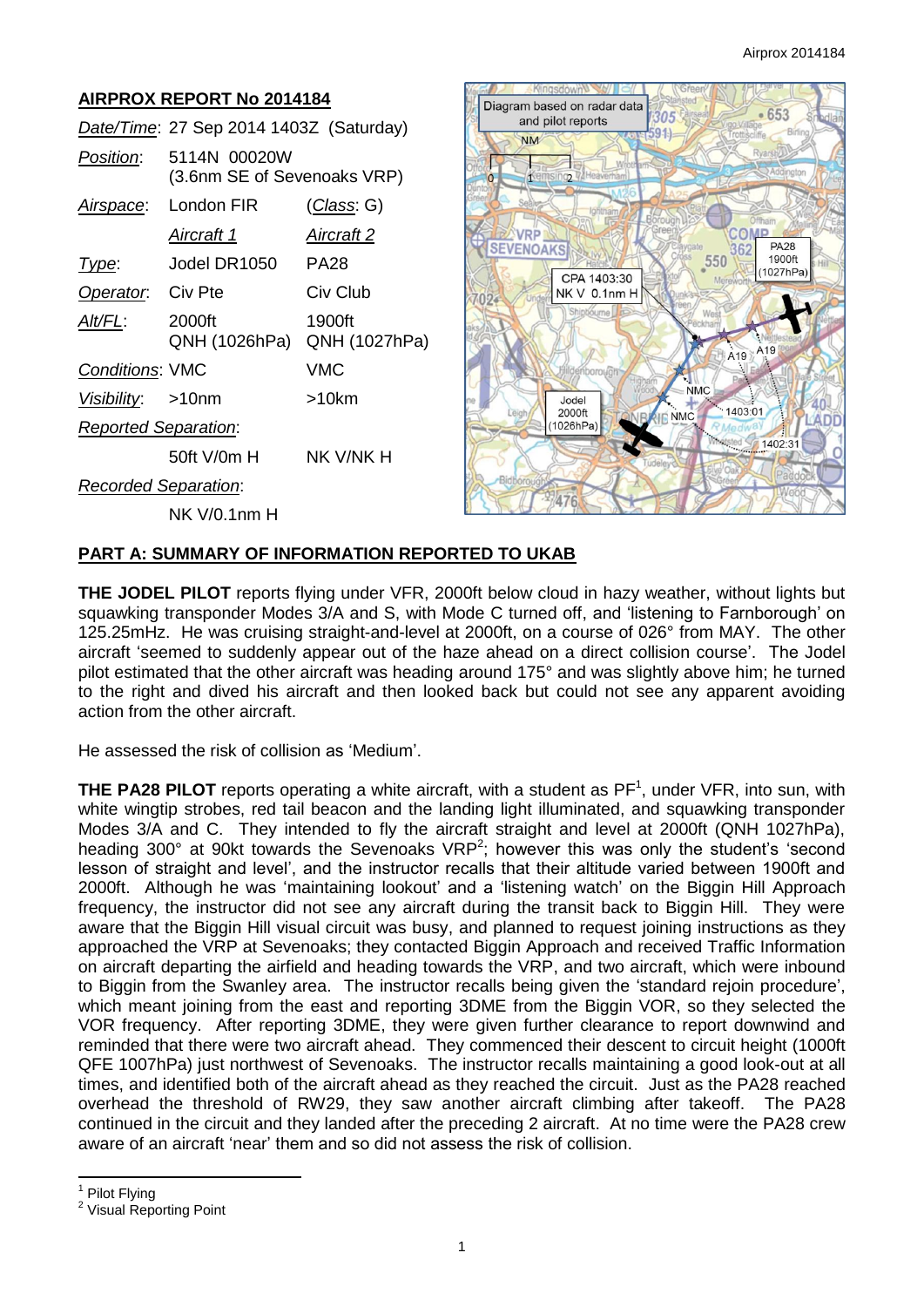# **AIRPROX REPORT No 2014184**

|                             | Date/Time: 27 Sep 2014 1403Z (Saturday)     |                         |
|-----------------------------|---------------------------------------------|-------------------------|
| Position:                   | 5114N 00020W<br>(3.6nm SE of Sevenoaks VRP) |                         |
|                             | Airspace: London FIR                        | <u>(Class</u> : G)      |
|                             | Aircraft 1                                  | <u>Aircraft 2</u>       |
| Type:                       | Jodel DR1050                                | <b>PA28</b>             |
| Operator. Civ Pte           |                                             | Civ Club                |
| Alt/FL:                     | 2000ft<br>QNH (1026hPa)                     | 1900ft<br>QNH (1027hPa) |
| <b>Conditions: VMC</b>      |                                             | VMC                     |
| Visibility: >10nm           |                                             | >10km                   |
| <b>Reported Separation:</b> |                                             |                         |
|                             | 50ft V/0m H                                 | NK V/NK H               |
| <b>Recorded Separation:</b> |                                             |                         |
|                             | NK V/0.1nm H                                |                         |



## **PART A: SUMMARY OF INFORMATION REPORTED TO UKAB**

**THE JODEL PILOT** reports flying under VFR, 2000ft below cloud in hazy weather, without lights but squawking transponder Modes 3/A and S, with Mode C turned off, and 'listening to Farnborough' on 125.25mHz. He was cruising straight-and-level at 2000ft, on a course of 026° from MAY. The other aircraft 'seemed to suddenly appear out of the haze ahead on a direct collision course'. The Jodel pilot estimated that the other aircraft was heading around 175° and was slightly above him; he turned to the right and dived his aircraft and then looked back but could not see any apparent avoiding action from the other aircraft.

He assessed the risk of collision as 'Medium'.

**THE PA28 PILOT** reports operating a white aircraft, with a student as PF<sup>1</sup>, under VFR, into sun, with white wingtip strobes, red tail beacon and the landing light illuminated, and squawking transponder Modes 3/A and C. They intended to fly the aircraft straight and level at 2000ft (QNH 1027hPa), heading 300 $^{\circ}$  at 90kt towards the Sevenoaks VRP<sup>2</sup>; however this was only the student's 'second lesson of straight and level', and the instructor recalls that their altitude varied between 1900ft and 2000ft. Although he was 'maintaining lookout' and a 'listening watch' on the Biggin Hill Approach frequency, the instructor did not see any aircraft during the transit back to Biggin Hill. They were aware that the Biggin Hill visual circuit was busy, and planned to request joining instructions as they approached the VRP at Sevenoaks; they contacted Biggin Approach and received Traffic Information on aircraft departing the airfield and heading towards the VRP, and two aircraft, which were inbound to Biggin from the Swanley area. The instructor recalls being given the 'standard rejoin procedure', which meant joining from the east and reporting 3DME from the Biggin VOR, so they selected the VOR frequency. After reporting 3DME, they were given further clearance to report downwind and reminded that there were two aircraft ahead. They commenced their descent to circuit height (1000ft QFE 1007hPa) just northwest of Sevenoaks. The instructor recalls maintaining a good look-out at all times, and identified both of the aircraft ahead as they reached the circuit. Just as the PA28 reached overhead the threshold of RW29, they saw another aircraft climbing after takeoff. The PA28 continued in the circuit and they landed after the preceding 2 aircraft. At no time were the PA28 crew aware of an aircraft 'near' them and so did not assess the risk of collision.

 $\overline{\phantom{a}}$ 1 Pilot Flying

<sup>&</sup>lt;sup>2</sup> Visual Reporting Point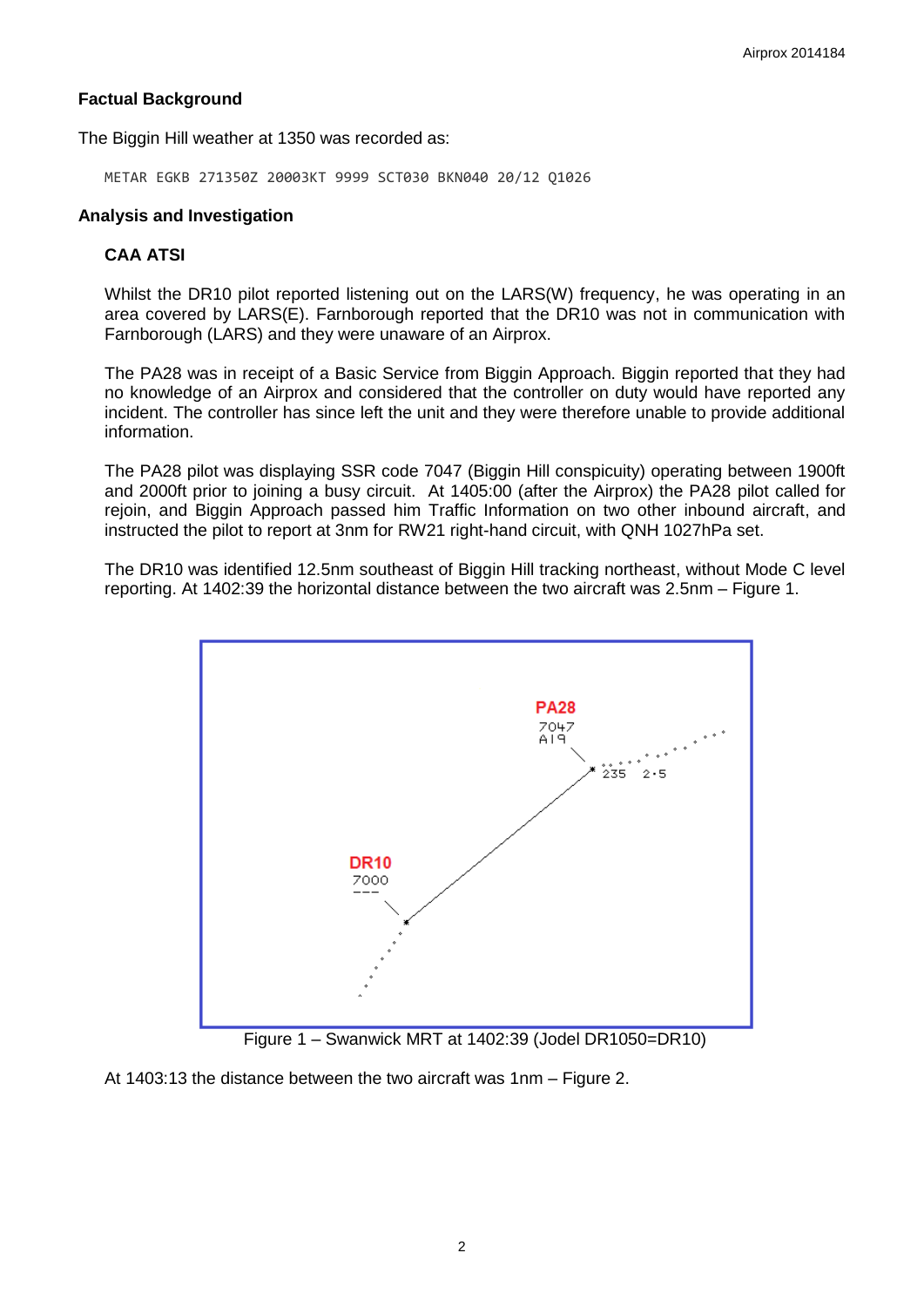# **Factual Background**

The Biggin Hill weather at 1350 was recorded as:

METAR EGKB 271350Z 20003KT 9999 SCT030 BKN040 20/12 Q1026

## **Analysis and Investigation**

## **CAA ATSI**

Whilst the DR10 pilot reported listening out on the LARS(W) frequency, he was operating in an area covered by LARS(E). Farnborough reported that the DR10 was not in communication with Farnborough (LARS) and they were unaware of an Airprox.

The PA28 was in receipt of a Basic Service from Biggin Approach. Biggin reported that they had no knowledge of an Airprox and considered that the controller on duty would have reported any incident. The controller has since left the unit and they were therefore unable to provide additional information.

The PA28 pilot was displaying SSR code 7047 (Biggin Hill conspicuity) operating between 1900ft and 2000ft prior to joining a busy circuit. At 1405:00 (after the Airprox) the PA28 pilot called for rejoin, and Biggin Approach passed him Traffic Information on two other inbound aircraft, and instructed the pilot to report at 3nm for RW21 right-hand circuit, with QNH 1027hPa set.

The DR10 was identified 12.5nm southeast of Biggin Hill tracking northeast, without Mode C level reporting. At 1402:39 the horizontal distance between the two aircraft was 2.5nm – Figure 1.



Figure 1 – Swanwick MRT at 1402:39 (Jodel DR1050=DR10)

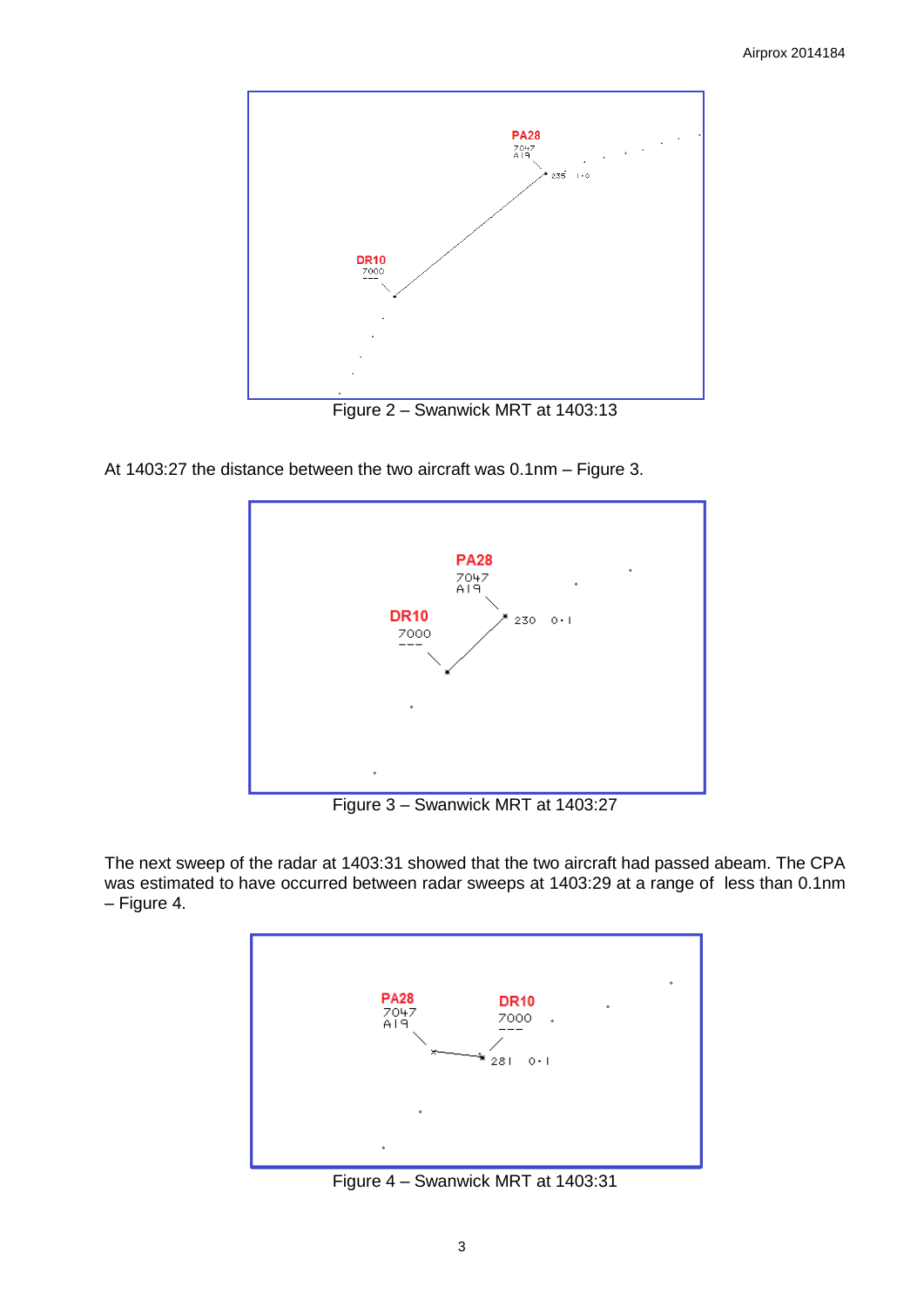

At 1403:27 the distance between the two aircraft was 0.1nm – Figure 3.



Figure 3 – Swanwick MRT at 1403:27

The next sweep of the radar at 1403:31 showed that the two aircraft had passed abeam. The CPA was estimated to have occurred between radar sweeps at 1403:29 at a range of less than 0.1nm – Figure 4.



Figure 4 – Swanwick MRT at 1403:31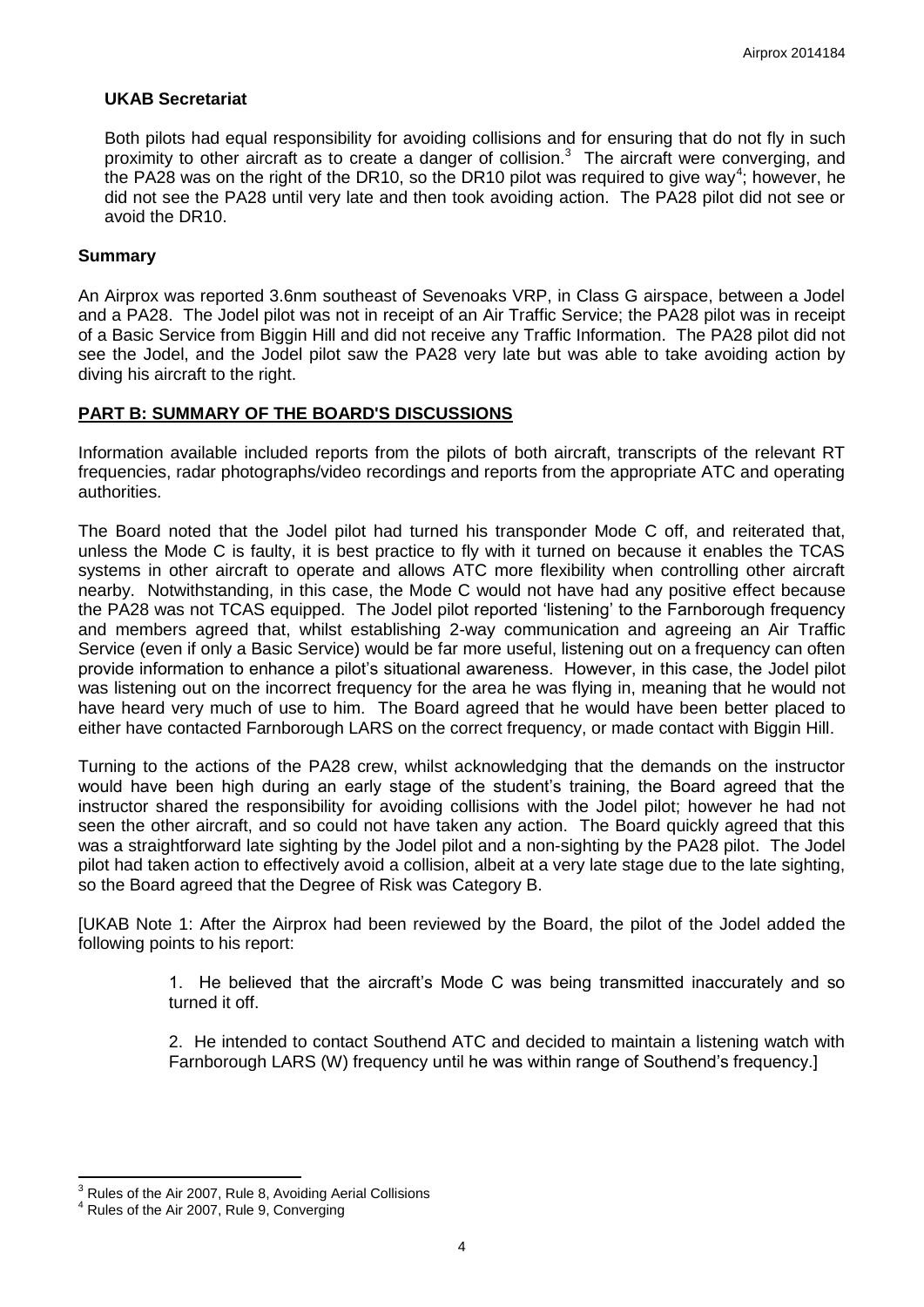#### **UKAB Secretariat**

Both pilots had equal responsibility for avoiding collisions and for ensuring that do not fly in such proximity to other aircraft as to create a danger of collision.<sup>3</sup> The aircraft were converging, and the PA28 was on the right of the DR10, so the DR10 pilot was required to give way<sup>4</sup>; however, he did not see the PA28 until very late and then took avoiding action. The PA28 pilot did not see or avoid the DR10.

#### **Summary**

An Airprox was reported 3.6nm southeast of Sevenoaks VRP, in Class G airspace, between a Jodel and a PA28. The Jodel pilot was not in receipt of an Air Traffic Service; the PA28 pilot was in receipt of a Basic Service from Biggin Hill and did not receive any Traffic Information. The PA28 pilot did not see the Jodel, and the Jodel pilot saw the PA28 very late but was able to take avoiding action by diving his aircraft to the right.

## **PART B: SUMMARY OF THE BOARD'S DISCUSSIONS**

Information available included reports from the pilots of both aircraft, transcripts of the relevant RT frequencies, radar photographs/video recordings and reports from the appropriate ATC and operating authorities.

The Board noted that the Jodel pilot had turned his transponder Mode C off, and reiterated that, unless the Mode C is faulty, it is best practice to fly with it turned on because it enables the TCAS systems in other aircraft to operate and allows ATC more flexibility when controlling other aircraft nearby. Notwithstanding, in this case, the Mode C would not have had any positive effect because the PA28 was not TCAS equipped. The Jodel pilot reported 'listening' to the Farnborough frequency and members agreed that, whilst establishing 2-way communication and agreeing an Air Traffic Service (even if only a Basic Service) would be far more useful, listening out on a frequency can often provide information to enhance a pilot's situational awareness. However, in this case, the Jodel pilot was listening out on the incorrect frequency for the area he was flying in, meaning that he would not have heard very much of use to him. The Board agreed that he would have been better placed to either have contacted Farnborough LARS on the correct frequency, or made contact with Biggin Hill.

Turning to the actions of the PA28 crew, whilst acknowledging that the demands on the instructor would have been high during an early stage of the student's training, the Board agreed that the instructor shared the responsibility for avoiding collisions with the Jodel pilot; however he had not seen the other aircraft, and so could not have taken any action. The Board quickly agreed that this was a straightforward late sighting by the Jodel pilot and a non-sighting by the PA28 pilot. The Jodel pilot had taken action to effectively avoid a collision, albeit at a very late stage due to the late sighting, so the Board agreed that the Degree of Risk was Category B.

[UKAB Note 1: After the Airprox had been reviewed by the Board, the pilot of the Jodel added the following points to his report:

> 1. He believed that the aircraft's Mode C was being transmitted inaccurately and so turned it off.

> 2. He intended to contact Southend ATC and decided to maintain a listening watch with Farnborough LARS (W) frequency until he was within range of Southend's frequency.]

 $\overline{\phantom{a}}$ 

 $3<sup>3</sup>$  Rules of the Air 2007, Rule 8, Avoiding Aerial Collisions

<sup>4</sup> Rules of the Air 2007, Rule 9, Converging